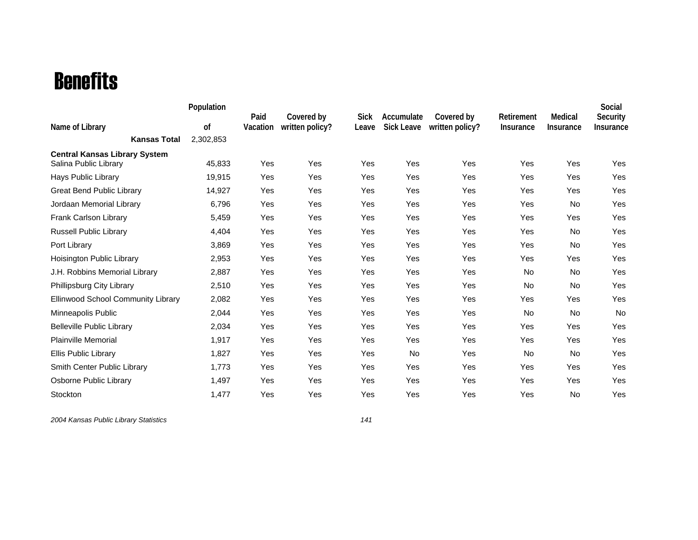## Benefits

|                                                               | Population    |                  |                               |                      |                                 |                               |                                |                      | Social                       |
|---------------------------------------------------------------|---------------|------------------|-------------------------------|----------------------|---------------------------------|-------------------------------|--------------------------------|----------------------|------------------------------|
| Name of Library                                               | <sub>of</sub> | Paid<br>Vacation | Covered by<br>written policy? | <b>Sick</b><br>Leave | Accumulate<br><b>Sick Leave</b> | Covered by<br>written policy? | Retirement<br><b>Insurance</b> | Medical<br>Insurance | Security<br><b>Insurance</b> |
| <b>Kansas Total</b>                                           | 2,302,853     |                  |                               |                      |                                 |                               |                                |                      |                              |
| <b>Central Kansas Library System</b><br>Salina Public Library | 45,833        | Yes              | Yes                           | Yes                  | Yes                             | Yes                           | Yes                            | Yes                  | Yes                          |
| Hays Public Library                                           | 19,915        | Yes              | Yes                           | Yes                  | Yes                             | Yes                           | Yes                            | Yes                  | Yes                          |
| <b>Great Bend Public Library</b>                              | 14,927        | Yes              | Yes                           | Yes                  | Yes                             | Yes                           | Yes                            | Yes                  | Yes                          |
| Jordaan Memorial Library                                      | 6,796         | Yes              | Yes                           | Yes                  | Yes                             | Yes                           | Yes                            | <b>No</b>            | Yes                          |
| Frank Carlson Library                                         | 5,459         | Yes              | Yes                           | Yes                  | Yes                             | Yes                           | Yes                            | Yes                  | Yes                          |
| <b>Russell Public Library</b>                                 | 4,404         | Yes              | Yes                           | Yes                  | Yes                             | Yes                           | Yes                            | No                   | Yes                          |
| Port Library                                                  | 3,869         | Yes              | Yes                           | Yes                  | Yes                             | Yes                           | Yes                            | No                   | Yes                          |
| Hoisington Public Library                                     | 2,953         | Yes              | Yes                           | Yes                  | Yes                             | Yes                           | Yes                            | Yes                  | Yes                          |
| J.H. Robbins Memorial Library                                 | 2,887         | Yes              | Yes                           | Yes                  | Yes                             | Yes                           | <b>No</b>                      | No                   | Yes                          |
| Phillipsburg City Library                                     | 2,510         | Yes              | Yes                           | Yes                  | Yes                             | Yes                           | <b>No</b>                      | No                   | Yes                          |
| <b>Ellinwood School Community Library</b>                     | 2,082         | Yes              | Yes                           | Yes                  | Yes                             | Yes                           | Yes                            | Yes                  | Yes                          |
| Minneapolis Public                                            | 2,044         | Yes              | Yes                           | Yes                  | Yes                             | Yes                           | No                             | No                   | <b>No</b>                    |
| <b>Belleville Public Library</b>                              | 2,034         | Yes              | Yes                           | Yes                  | Yes                             | Yes                           | Yes                            | Yes                  | Yes                          |
| <b>Plainville Memorial</b>                                    | 1,917         | Yes              | Yes                           | Yes                  | Yes                             | Yes                           | Yes                            | Yes                  | Yes                          |
| <b>Ellis Public Library</b>                                   | 1,827         | Yes              | Yes                           | Yes                  | <b>No</b>                       | Yes                           | No                             | No                   | Yes                          |
| Smith Center Public Library                                   | 1,773         | Yes              | Yes                           | Yes                  | Yes                             | Yes                           | Yes                            | Yes                  | Yes                          |
| Osborne Public Library                                        | 1,497         | Yes              | Yes                           | Yes                  | Yes                             | Yes                           | Yes                            | Yes                  | Yes                          |
| Stockton                                                      | 1,477         | Yes              | Yes                           | Yes                  | Yes                             | Yes                           | Yes                            | No                   | Yes                          |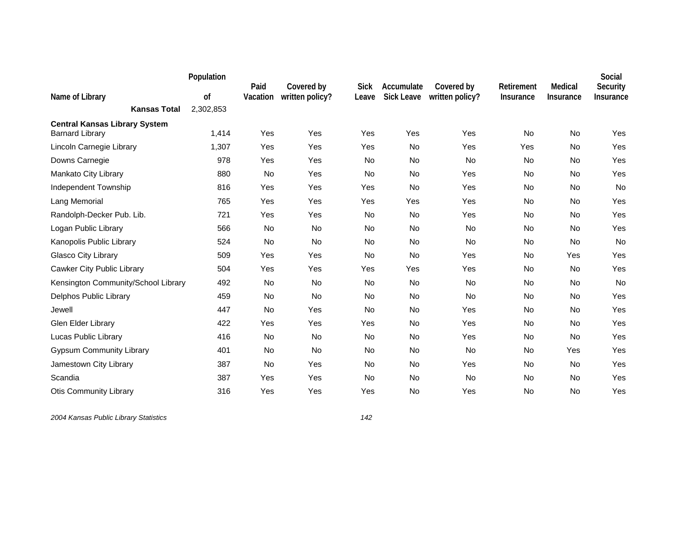|                                                                | Population | Paid     | Covered by      | <b>Sick</b> | Accumulate        | Covered by      | Retirement | Medical          | Social<br>Security |
|----------------------------------------------------------------|------------|----------|-----------------|-------------|-------------------|-----------------|------------|------------------|--------------------|
| Name of Library                                                | of         | Vacation | written policy? | Leave       | <b>Sick Leave</b> | written policy? | Insurance  | <b>Insurance</b> | Insurance          |
| <b>Kansas Total</b>                                            | 2,302,853  |          |                 |             |                   |                 |            |                  |                    |
| <b>Central Kansas Library System</b><br><b>Barnard Library</b> | 1,414      | Yes      | Yes             | Yes         | Yes               | Yes             | <b>No</b>  | No               | Yes                |
| Lincoln Carnegie Library                                       | 1,307      | Yes      | Yes             | Yes         | <b>No</b>         | Yes             | Yes        | No               | Yes                |
| Downs Carnegie                                                 | 978        | Yes      | Yes             | No          | <b>No</b>         | <b>No</b>       | No         | No               | Yes                |
| Mankato City Library                                           | 880        | No       | Yes             | <b>No</b>   | No                | Yes             | No         | No               | Yes                |
| Independent Township                                           | 816        | Yes      | Yes             | Yes         | <b>No</b>         | Yes             | No         | No               | No                 |
| Lang Memorial                                                  | 765        | Yes      | Yes             | Yes         | Yes               | Yes             | No         | No               | Yes                |
| Randolph-Decker Pub. Lib.                                      | 721        | Yes      | Yes             | No          | No                | Yes             | No         | No               | Yes                |
| Logan Public Library                                           | 566        | No       | No              | <b>No</b>   | <b>No</b>         | No              | No         | <b>No</b>        | Yes                |
| Kanopolis Public Library                                       | 524        | No       | <b>No</b>       | <b>No</b>   | No                | No              | No         | No               | No                 |
| Glasco City Library                                            | 509        | Yes      | Yes             | No          | No                | Yes             | No         | Yes              | Yes                |
| Cawker City Public Library                                     | 504        | Yes      | Yes             | Yes         | Yes               | Yes             | No         | <b>No</b>        | Yes                |
| Kensington Community/School Library                            | 492        | No       | No              | <b>No</b>   | No                | <b>No</b>       | No         | No               | No                 |
| Delphos Public Library                                         | 459        | No       | No              | <b>No</b>   | No                | <b>No</b>       | No         | No               | Yes                |
| Jewell                                                         | 447        | No       | Yes             | <b>No</b>   | <b>No</b>         | Yes             | No         | No               | Yes                |
| Glen Elder Library                                             | 422        | Yes      | Yes             | Yes         | No                | Yes             | No         | No               | Yes                |
| Lucas Public Library                                           | 416        | No       | <b>No</b>       | <b>No</b>   | <b>No</b>         | Yes             | No         | <b>No</b>        | Yes                |
| <b>Gypsum Community Library</b>                                | 401        | No       | No              | No          | No                | No              | No         | Yes              | Yes                |
| Jamestown City Library                                         | 387        | No       | Yes             | <b>No</b>   | No                | Yes             | No         | No               | Yes                |
| Scandia                                                        | 387        | Yes      | Yes             | <b>No</b>   | <b>No</b>         | No              | <b>No</b>  | No               | Yes                |
| <b>Otis Community Library</b>                                  | 316        | Yes      | Yes             | Yes         | No                | Yes             | No         | No               | Yes                |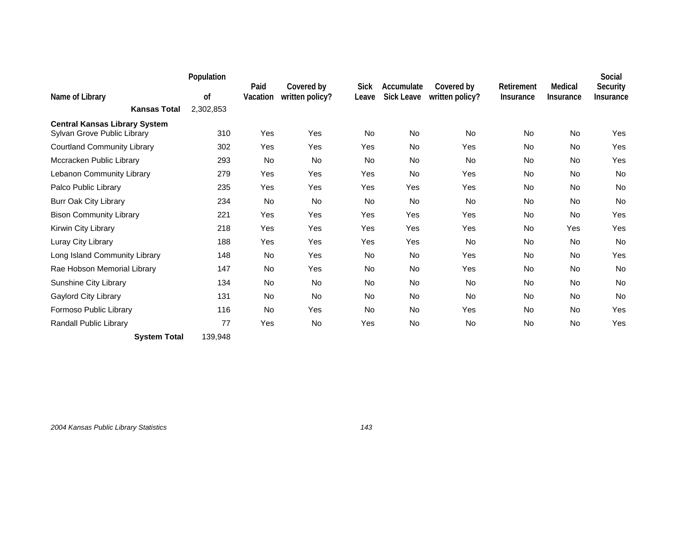|                                                                     | Population |                  |                               |                      |                                 |                               |                         |                             | Social                |
|---------------------------------------------------------------------|------------|------------------|-------------------------------|----------------------|---------------------------------|-------------------------------|-------------------------|-----------------------------|-----------------------|
| Name of Library                                                     | 0f         | Paid<br>Vacation | Covered by<br>written policy? | <b>Sick</b><br>Leave | Accumulate<br><b>Sick Leave</b> | Covered by<br>written policy? | Retirement<br>Insurance | Medical<br><b>Insurance</b> | Security<br>Insurance |
| <b>Kansas Total</b>                                                 | 2,302,853  |                  |                               |                      |                                 |                               |                         |                             |                       |
| <b>Central Kansas Library System</b><br>Sylvan Grove Public Library | 310        | Yes              | Yes                           | No.                  | <b>No</b>                       | No                            | <b>No</b>               | <b>No</b>                   | Yes                   |
| <b>Courtland Community Library</b>                                  | 302        | Yes              | Yes                           | Yes                  | <b>No</b>                       | Yes                           | <b>No</b>               | <b>No</b>                   | Yes                   |
| Mccracken Public Library                                            | 293        | No.              | <b>No</b>                     | <b>No</b>            | <b>No</b>                       | <b>No</b>                     | <b>No</b>               | <b>No</b>                   | Yes                   |
| Lebanon Community Library                                           | 279        | Yes              | Yes                           | Yes                  | <b>No</b>                       | Yes                           | No                      | No                          | <b>No</b>             |
| Palco Public Library                                                | 235        | Yes              | Yes                           | Yes                  | Yes                             | Yes                           | No                      | No                          | <b>No</b>             |
| <b>Burr Oak City Library</b>                                        | 234        | No               | <b>No</b>                     | <b>No</b>            | No                              | No                            | No                      | No                          | <b>No</b>             |
| <b>Bison Community Library</b>                                      | 221        | Yes              | Yes                           | Yes                  | Yes                             | Yes                           | <b>No</b>               | <b>No</b>                   | Yes                   |
| Kirwin City Library                                                 | 218        | Yes              | Yes                           | Yes                  | Yes                             | Yes                           | No                      | Yes                         | Yes                   |
| Luray City Library                                                  | 188        | Yes              | Yes                           | Yes                  | Yes                             | <b>No</b>                     | No                      | No                          | <b>No</b>             |
| Long Island Community Library                                       | 148        | No               | Yes                           | <b>No</b>            | <b>No</b>                       | Yes                           | No                      | No                          | Yes                   |
| Rae Hobson Memorial Library                                         | 147        | <b>No</b>        | Yes                           | <b>No</b>            | <b>No</b>                       | Yes                           | <b>No</b>               | <b>No</b>                   | No                    |
| Sunshine City Library                                               | 134        | <b>No</b>        | <b>No</b>                     | <b>No</b>            | <b>No</b>                       | <b>No</b>                     | <b>No</b>               | <b>No</b>                   | <b>No</b>             |
| <b>Gaylord City Library</b>                                         | 131        | <b>No</b>        | <b>No</b>                     | <b>No</b>            | <b>No</b>                       | <b>No</b>                     | No                      | <b>No</b>                   | <b>No</b>             |
| Formoso Public Library                                              | 116        | No               | Yes                           | <b>No</b>            | No                              | Yes                           | <b>No</b>               | No                          | Yes                   |
| Randall Public Library                                              | 77         | Yes              | No                            | Yes                  | No                              | <b>No</b>                     | No                      | No                          | Yes                   |
| <b>System Total</b>                                                 | 139,948    |                  |                               |                      |                                 |                               |                         |                             |                       |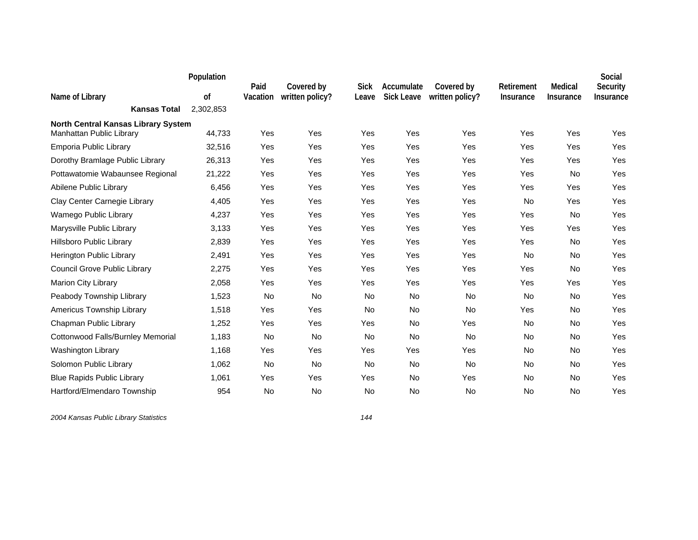|                                                                        | Population | Paid     | Covered by      | <b>Sick</b> | Accumulate        | Covered by      | Retirement | Medical   | Social<br>Security |
|------------------------------------------------------------------------|------------|----------|-----------------|-------------|-------------------|-----------------|------------|-----------|--------------------|
| Name of Library                                                        | 0f         | Vacation | written policy? | Leave       | <b>Sick Leave</b> | written policy? | Insurance  | Insurance | Insurance          |
| <b>Kansas Total</b>                                                    | 2,302,853  |          |                 |             |                   |                 |            |           |                    |
| <b>North Central Kansas Library System</b><br>Manhattan Public Library | 44,733     | Yes      | Yes             | Yes         | Yes               | Yes             | Yes        | Yes       | Yes                |
| Emporia Public Library                                                 | 32,516     | Yes      | Yes             | Yes         | Yes               | Yes             | Yes        | Yes       | Yes                |
| Dorothy Bramlage Public Library                                        | 26,313     | Yes      | Yes             | Yes         | Yes               | Yes             | Yes        | Yes       | Yes                |
| Pottawatomie Wabaunsee Regional                                        | 21,222     | Yes      | Yes             | Yes         | Yes               | Yes             | Yes        | No        | Yes                |
| Abilene Public Library                                                 | 6,456      | Yes      | Yes             | Yes         | Yes               | Yes             | Yes        | Yes       | Yes                |
| Clay Center Carnegie Library                                           | 4,405      | Yes      | Yes             | Yes         | Yes               | Yes             | No         | Yes       | Yes                |
| Wamego Public Library                                                  | 4,237      | Yes      | Yes             | Yes         | Yes               | Yes             | Yes        | <b>No</b> | Yes                |
| Marysville Public Library                                              | 3,133      | Yes      | Yes             | Yes         | Yes               | Yes             | Yes        | Yes       | Yes                |
| <b>Hillsboro Public Library</b>                                        | 2,839      | Yes      | Yes             | Yes         | Yes               | Yes             | Yes        | No        | Yes                |
| Herington Public Library                                               | 2,491      | Yes      | Yes             | Yes         | Yes               | Yes             | No         | No        | Yes                |
| Council Grove Public Library                                           | 2,275      | Yes      | Yes             | Yes         | Yes               | Yes             | Yes        | <b>No</b> | Yes                |
| Marion City Library                                                    | 2,058      | Yes      | Yes             | Yes         | Yes               | Yes             | Yes        | Yes       | Yes                |
| Peabody Township Llibrary                                              | 1,523      | No       | <b>No</b>       | <b>No</b>   | <b>No</b>         | <b>No</b>       | <b>No</b>  | <b>No</b> | Yes                |
| Americus Township Library                                              | 1,518      | Yes      | Yes             | <b>No</b>   | <b>No</b>         | <b>No</b>       | Yes        | <b>No</b> | Yes                |
| Chapman Public Library                                                 | 1,252      | Yes      | Yes             | Yes         | No                | Yes             | No         | No        | Yes                |
| Cottonwood Falls/Burnley Memorial                                      | 1,183      | No       | <b>No</b>       | <b>No</b>   | <b>No</b>         | <b>No</b>       | No         | <b>No</b> | Yes                |
| Washington Library                                                     | 1,168      | Yes      | Yes             | Yes         | Yes               | Yes             | No         | No        | Yes                |
| Solomon Public Library                                                 | 1,062      | No       | No              | No          | No                | No              | No         | No        | Yes                |
| <b>Blue Rapids Public Library</b>                                      | 1,061      | Yes      | Yes             | Yes         | <b>No</b>         | Yes             | <b>No</b>  | <b>No</b> | Yes                |
| Hartford/Elmendaro Township                                            | 954        | No       | No              | No          | <b>No</b>         | No              | <b>No</b>  | <b>No</b> | Yes                |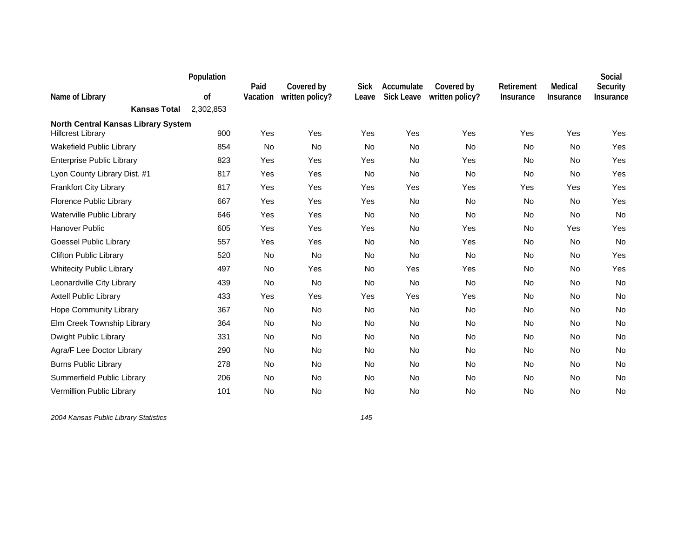|                                                                        | Population | Paid      | Covered by      | <b>Sick</b> | Accumulate        | Covered by      | Retirement | Medical   | Social<br>Security |
|------------------------------------------------------------------------|------------|-----------|-----------------|-------------|-------------------|-----------------|------------|-----------|--------------------|
| Name of Library                                                        | οf         | Vacation  | written policy? | Leave       | <b>Sick Leave</b> | written policy? | Insurance  | Insurance | Insurance          |
| <b>Kansas Total</b>                                                    | 2,302,853  |           |                 |             |                   |                 |            |           |                    |
| <b>North Central Kansas Library System</b><br><b>Hillcrest Library</b> | 900        | Yes       | Yes             | Yes         | Yes               | Yes             | Yes        | Yes       | Yes                |
| Wakefield Public Library                                               | 854        | No        | <b>No</b>       | <b>No</b>   | No                | <b>No</b>       | No         | No        | Yes                |
| <b>Enterprise Public Library</b>                                       | 823        | Yes       | Yes             | Yes         | <b>No</b>         | Yes             | No         | No        | Yes                |
| Lyon County Library Dist. #1                                           | 817        | Yes       | Yes             | No          | <b>No</b>         | <b>No</b>       | No         | No        | Yes                |
| <b>Frankfort City Library</b>                                          | 817        | Yes       | Yes             | Yes         | Yes               | Yes             | Yes        | Yes       | Yes                |
| Florence Public Library                                                | 667        | Yes       | Yes             | Yes         | No                | <b>No</b>       | No         | No        | Yes                |
| Waterville Public Library                                              | 646        | Yes       | Yes             | No          | No                | No              | No         | No        | No                 |
| <b>Hanover Public</b>                                                  | 605        | Yes       | Yes             | Yes         | No                | Yes             | No         | Yes       | Yes                |
| Goessel Public Library                                                 | 557        | Yes       | Yes             | <b>No</b>   | <b>No</b>         | Yes             | No         | <b>No</b> | No                 |
| <b>Clifton Public Library</b>                                          | 520        | No        | No              | No          | No                | No              | No         | No        | Yes                |
| <b>Whitecity Public Library</b>                                        | 497        | No        | Yes             | <b>No</b>   | Yes               | Yes             | No         | No        | Yes                |
| Leonardville City Library                                              | 439        | No        | No              | No          | No                | No              | No         | No        | No                 |
| <b>Axtell Public Library</b>                                           | 433        | Yes       | Yes             | Yes         | Yes               | Yes             | No         | No        | No                 |
| <b>Hope Community Library</b>                                          | 367        | <b>No</b> | <b>No</b>       | <b>No</b>   | <b>No</b>         | <b>No</b>       | No         | No        | <b>No</b>          |
| Elm Creek Township Library                                             | 364        | No        | No              | No          | No                | No              | No         | No        | No                 |
| Dwight Public Library                                                  | 331        | No        | No              | No          | No                | No              | No         | No        | No                 |
| Agra/F Lee Doctor Library                                              | 290        | No        | No              | <b>No</b>   | No                | No              | No         | No        | No                 |
| <b>Burns Public Library</b>                                            | 278        | No        | No              | No          | No                | No              | No         | No        | No                 |
| Summerfield Public Library                                             | 206        | No        | <b>No</b>       | <b>No</b>   | <b>No</b>         | <b>No</b>       | <b>No</b>  | <b>No</b> | <b>No</b>          |
| Vermillion Public Library                                              | 101        | No        | No              | <b>No</b>   | No                | No              | No         | No        | No                 |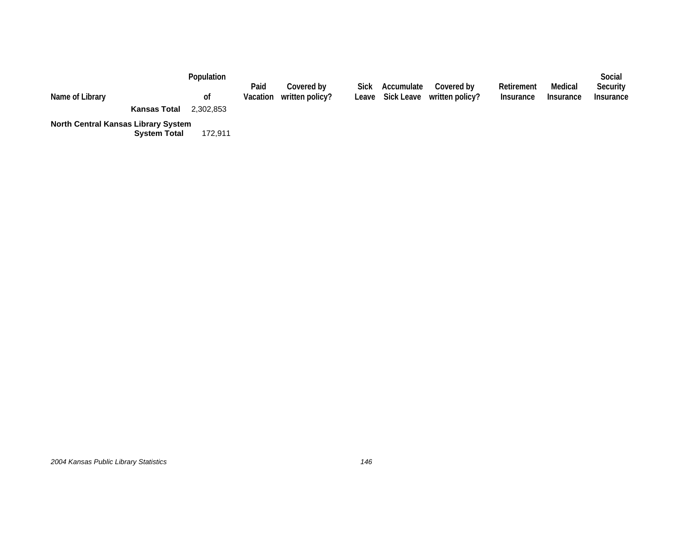| Name of Library                                                 |                     | <b>Population</b><br>0t | Paid | Covered bv<br>Vacation written policy? | Sick Accumulate | Covered by<br>Leave Sick Leave written policy? | Retirement<br>Insurance | Medical<br>Insurance | Social<br>Security<br>Insurance |
|-----------------------------------------------------------------|---------------------|-------------------------|------|----------------------------------------|-----------------|------------------------------------------------|-------------------------|----------------------|---------------------------------|
| $\mathbf{r}$ and $\mathbf{r}$ and $\mathbf{r}$ and $\mathbf{r}$ | <b>Kansas Total</b> | 2.302.853               |      |                                        |                 |                                                |                         |                      |                                 |

**North Central Kansas Library System**

**System Total** 172,911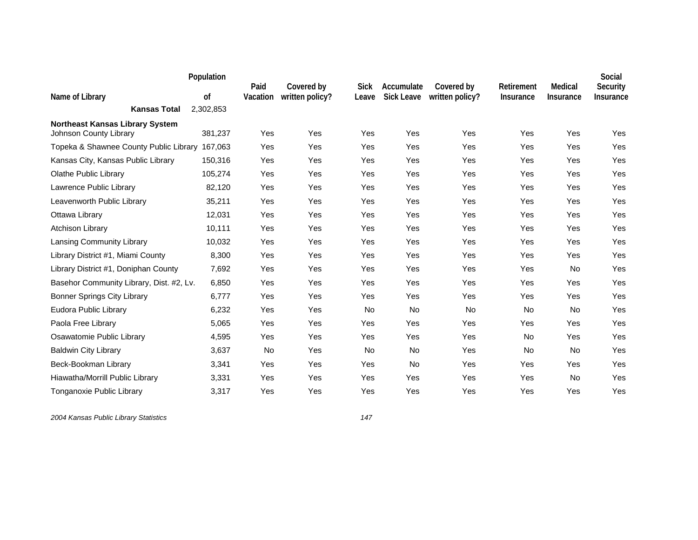|                                                                  | Population | Paid     | Covered by      | <b>Sick</b> | Accumulate        | Covered by      | Retirement       | Medical          | Social<br>Security |
|------------------------------------------------------------------|------------|----------|-----------------|-------------|-------------------|-----------------|------------------|------------------|--------------------|
| Name of Library                                                  | of         | Vacation | written policy? | Leave       | <b>Sick Leave</b> | written policy? | <b>Insurance</b> | <b>Insurance</b> | Insurance          |
| <b>Kansas Total</b>                                              | 2,302,853  |          |                 |             |                   |                 |                  |                  |                    |
| <b>Northeast Kansas Library System</b><br>Johnson County Library | 381,237    | Yes      | Yes             | Yes         | Yes               | Yes             | Yes              | Yes              | Yes                |
| Topeka & Shawnee County Public Library                           | 167,063    | Yes      | Yes             | Yes         | Yes               | Yes             | Yes              | Yes              | Yes                |
| Kansas City, Kansas Public Library                               | 150,316    | Yes      | Yes             | Yes         | Yes               | Yes             | Yes              | Yes              | Yes                |
| Olathe Public Library                                            | 105,274    | Yes      | Yes             | Yes         | Yes               | Yes             | Yes              | Yes              | Yes                |
| Lawrence Public Library                                          | 82,120     | Yes      | Yes             | Yes         | Yes               | Yes             | Yes              | Yes              | Yes                |
| Leavenworth Public Library                                       | 35,211     | Yes      | Yes             | Yes         | Yes               | Yes             | Yes              | Yes              | Yes                |
| Ottawa Library                                                   | 12,031     | Yes      | Yes             | Yes         | Yes               | Yes             | Yes              | Yes              | Yes                |
| <b>Atchison Library</b>                                          | 10,111     | Yes      | Yes             | Yes         | Yes               | Yes             | Yes              | Yes              | Yes                |
| Lansing Community Library                                        | 10,032     | Yes      | Yes             | Yes         | Yes               | Yes             | Yes              | Yes              | Yes                |
| Library District #1, Miami County                                | 8,300      | Yes      | Yes             | Yes         | Yes               | Yes             | Yes              | Yes              | Yes                |
| Library District #1, Doniphan County                             | 7,692      | Yes      | Yes             | Yes         | Yes               | Yes             | Yes              | No               | Yes                |
| Basehor Community Library, Dist. #2, Lv.                         | 6,850      | Yes      | Yes             | Yes         | Yes               | Yes             | Yes              | Yes              | Yes                |
| <b>Bonner Springs City Library</b>                               | 6,777      | Yes      | Yes             | Yes         | Yes               | Yes             | Yes              | Yes              | Yes                |
| Eudora Public Library                                            | 6,232      | Yes      | Yes             | No          | No                | No              | No               | No               | Yes                |
| Paola Free Library                                               | 5,065      | Yes      | Yes             | Yes         | Yes               | Yes             | Yes              | Yes              | Yes                |
| Osawatomie Public Library                                        | 4,595      | Yes      | Yes             | Yes         | Yes               | Yes             | No               | Yes              | Yes                |
| <b>Baldwin City Library</b>                                      | 3,637      | No       | Yes             | <b>No</b>   | No                | Yes             | <b>No</b>        | No               | Yes                |
| Beck-Bookman Library                                             | 3,341      | Yes      | Yes             | Yes         | No                | Yes             | Yes              | Yes              | Yes                |
| Hiawatha/Morrill Public Library                                  | 3,331      | Yes      | Yes             | Yes         | Yes               | Yes             | Yes              | No               | Yes                |
| Tonganoxie Public Library                                        | 3,317      | Yes      | Yes             | Yes         | Yes               | Yes             | Yes              | Yes              | Yes                |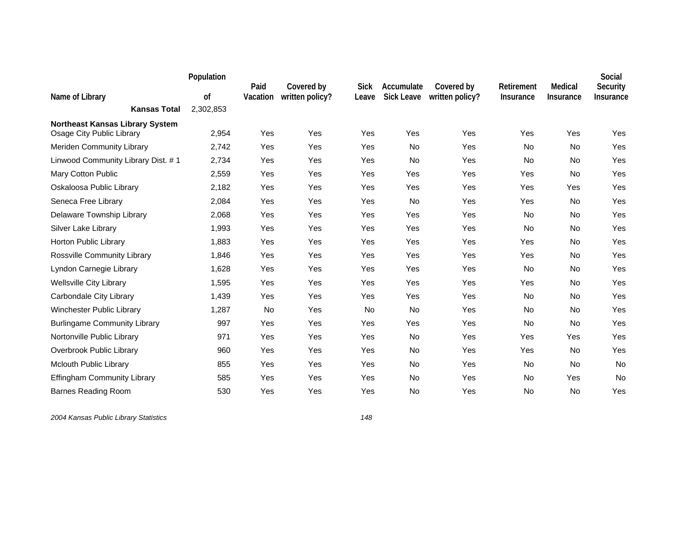|                                                                     | Population | Paid     | Covered by      | <b>Sick</b> | Accumulate        | Covered by      | Retirement | Medical   | Social<br>Security |
|---------------------------------------------------------------------|------------|----------|-----------------|-------------|-------------------|-----------------|------------|-----------|--------------------|
| Name of Library                                                     | 0f         | Vacation | written policy? | Leave       | <b>Sick Leave</b> | written policy? | Insurance  | Insurance | Insurance          |
| <b>Kansas Total</b>                                                 | 2,302,853  |          |                 |             |                   |                 |            |           |                    |
| <b>Northeast Kansas Library System</b><br>Osage City Public Library | 2,954      | Yes      | Yes             | Yes         | Yes               | Yes             | Yes        | Yes       | Yes                |
| Meriden Community Library                                           | 2,742      | Yes      | Yes             | Yes         | <b>No</b>         | Yes             | <b>No</b>  | No        | Yes                |
| Linwood Community Library Dist. #1                                  | 2,734      | Yes      | Yes             | Yes         | <b>No</b>         | Yes             | <b>No</b>  | No        | Yes                |
| Mary Cotton Public                                                  | 2,559      | Yes      | Yes             | Yes         | Yes               | Yes             | Yes        | <b>No</b> | Yes                |
| Oskaloosa Public Library                                            | 2,182      | Yes      | Yes             | Yes         | Yes               | Yes             | Yes        | Yes       | Yes                |
| Seneca Free Library                                                 | 2,084      | Yes      | Yes             | Yes         | No                | Yes             | Yes        | No        | Yes                |
| Delaware Township Library                                           | 2,068      | Yes      | Yes             | Yes         | Yes               | Yes             | No         | No        | Yes                |
| Silver Lake Library                                                 | 1,993      | Yes      | Yes             | Yes         | Yes               | Yes             | No         | <b>No</b> | Yes                |
| Horton Public Library                                               | 1,883      | Yes      | Yes             | Yes         | Yes               | Yes             | Yes        | No        | Yes                |
| Rossville Community Library                                         | 1,846      | Yes      | Yes             | Yes         | Yes               | Yes             | Yes        | No        | Yes                |
| Lyndon Carnegie Library                                             | 1,628      | Yes      | Yes             | Yes         | Yes               | Yes             | <b>No</b>  | <b>No</b> | Yes                |
| <b>Wellsville City Library</b>                                      | 1,595      | Yes      | Yes             | Yes         | Yes               | Yes             | Yes        | No        | Yes                |
| Carbondale City Library                                             | 1,439      | Yes      | Yes             | Yes         | Yes               | Yes             | No         | No        | Yes                |
| Winchester Public Library                                           | 1,287      | No       | Yes             | <b>No</b>   | <b>No</b>         | Yes             | <b>No</b>  | No        | Yes                |
| <b>Burlingame Community Library</b>                                 | 997        | Yes      | Yes             | Yes         | Yes               | Yes             | No         | <b>No</b> | Yes                |
| Nortonville Public Library                                          | 971        | Yes      | Yes             | Yes         | <b>No</b>         | Yes             | Yes        | Yes       | Yes                |
| Overbrook Public Library                                            | 960        | Yes      | Yes             | Yes         | No                | Yes             | Yes        | No        | Yes                |
| <b>Mclouth Public Library</b>                                       | 855        | Yes      | Yes             | Yes         | No                | Yes             | No         | No        | No                 |
| <b>Effingham Community Library</b>                                  | 585        | Yes      | Yes             | Yes         | <b>No</b>         | Yes             | <b>No</b>  | Yes       | No                 |
| <b>Barnes Reading Room</b>                                          | 530        | Yes      | Yes             | Yes         | No                | Yes             | No         | No        | Yes                |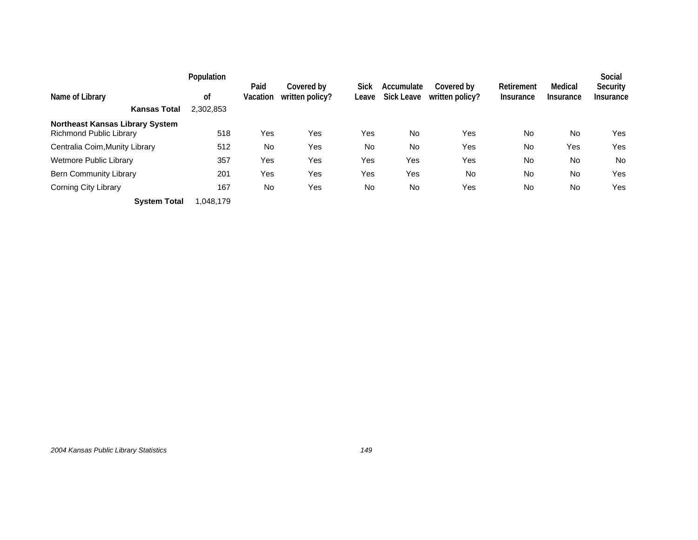|                                                            | Population | Paid     | Covered by      | Sick  | Accumulate        | Covered by      | Retirement | Medical   | Social<br>Security |
|------------------------------------------------------------|------------|----------|-----------------|-------|-------------------|-----------------|------------|-----------|--------------------|
| Name of Library                                            | 0f         | Vacation | written policy? | Leave | <b>Sick Leave</b> | written policy? | Insurance  | Insurance | Insurance          |
| <b>Kansas Total</b>                                        | 2,302,853  |          |                 |       |                   |                 |            |           |                    |
| Northeast Kansas Library System<br>Richmond Public Library | 518        | Yes      | Yes             | Yes   | No                | Yes             | No         | <b>No</b> | Yes                |
| Centralia Coim, Munity Library                             | 512        | No       | Yes             | No    | <b>No</b>         | Yes             | No         | Yes       | Yes                |
| <b>Wetmore Public Library</b>                              | 357        | Yes      | Yes             | Yes   | Yes               | Yes             | No         | No        | <b>No</b>          |
| Bern Community Library                                     | 201        | Yes      | Yes             | Yes   | Yes               | No              | No         | <b>No</b> | Yes                |
| Corning City Library                                       | 167        | No       | Yes             | No    | No                | Yes             | No         | No        | Yes                |
| <b>System Total</b>                                        | 1.048.179  |          |                 |       |                   |                 |            |           |                    |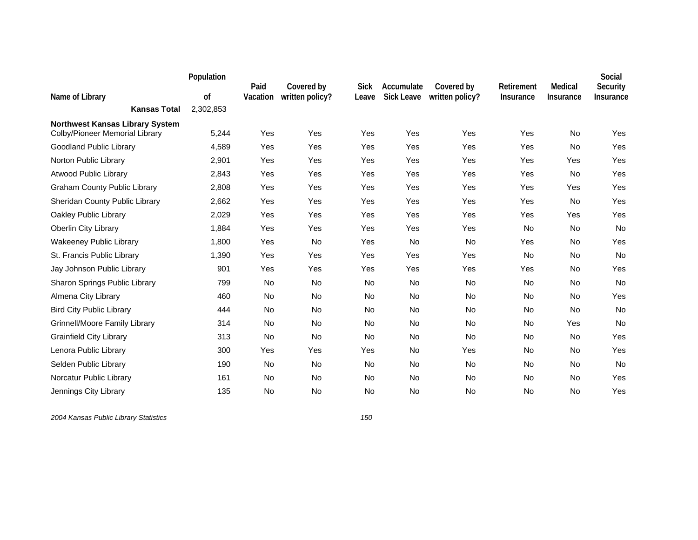|                                                                          | Population | Paid      | Covered by      | <b>Sick</b> | Accumulate        | Covered by      | Retirement | Medical   | Social<br>Security |
|--------------------------------------------------------------------------|------------|-----------|-----------------|-------------|-------------------|-----------------|------------|-----------|--------------------|
| Name of Library                                                          | 0f         | Vacation  | written policy? | Leave       | <b>Sick Leave</b> | written policy? | Insurance  | Insurance | Insurance          |
| <b>Kansas Total</b>                                                      | 2,302,853  |           |                 |             |                   |                 |            |           |                    |
| <b>Northwest Kansas Library System</b><br>Colby/Pioneer Memorial Library | 5,244      | Yes       | Yes             | Yes         | Yes               | Yes             | Yes        | No        | Yes                |
| <b>Goodland Public Library</b>                                           | 4,589      | Yes       | Yes             | Yes         | Yes               | Yes             | Yes        | <b>No</b> | Yes                |
| Norton Public Library                                                    | 2,901      | Yes       | Yes             | Yes         | Yes               | Yes             | Yes        | Yes       | Yes                |
| <b>Atwood Public Library</b>                                             | 2,843      | Yes       | Yes             | Yes         | Yes               | Yes             | Yes        | No        | Yes                |
| <b>Graham County Public Library</b>                                      | 2,808      | Yes       | Yes             | Yes         | Yes               | Yes             | Yes        | Yes       | Yes                |
| Sheridan County Public Library                                           | 2,662      | Yes       | Yes             | Yes         | Yes               | Yes             | Yes        | No        | Yes                |
| Oakley Public Library                                                    | 2,029      | Yes       | Yes             | Yes         | Yes               | Yes             | Yes        | Yes       | Yes                |
| <b>Oberlin City Library</b>                                              | 1,884      | Yes       | Yes             | Yes         | Yes               | Yes             | No         | No        | No                 |
| <b>Wakeeney Public Library</b>                                           | 1,800      | Yes       | No              | Yes         | No                | No              | Yes        | No        | Yes                |
| St. Francis Public Library                                               | 1,390      | Yes       | Yes             | Yes         | Yes               | Yes             | No         | No        | No                 |
| Jay Johnson Public Library                                               | 901        | Yes       | Yes             | Yes         | Yes               | Yes             | Yes        | <b>No</b> | Yes                |
| Sharon Springs Public Library                                            | 799        | No        | No              | <b>No</b>   | No                | No              | No         | No        | No                 |
| Almena City Library                                                      | 460        | <b>No</b> | <b>No</b>       | <b>No</b>   | <b>No</b>         | <b>No</b>       | <b>No</b>  | <b>No</b> | Yes                |
| <b>Bird City Public Library</b>                                          | 444        | No        | <b>No</b>       | <b>No</b>   | <b>No</b>         | <b>No</b>       | No         | <b>No</b> | No                 |
| <b>Grinnell/Moore Family Library</b>                                     | 314        | No        | No              | No          | No                | No              | No         | Yes       | No                 |
| <b>Grainfield City Library</b>                                           | 313        | <b>No</b> | <b>No</b>       | <b>No</b>   | <b>No</b>         | <b>No</b>       | No         | <b>No</b> | Yes                |
| Lenora Public Library                                                    | 300        | Yes       | Yes             | Yes         | <b>No</b>         | Yes             | No         | <b>No</b> | Yes                |
| Selden Public Library                                                    | 190        | No        | No              | No          | No                | No              | No         | No        | No                 |
| Norcatur Public Library                                                  | 161        | <b>No</b> | <b>No</b>       | <b>No</b>   | <b>No</b>         | <b>No</b>       | <b>No</b>  | <b>No</b> | Yes                |
| Jennings City Library                                                    | 135        | No        | <b>No</b>       | <b>No</b>   | No                | <b>No</b>       | <b>No</b>  | No        | Yes                |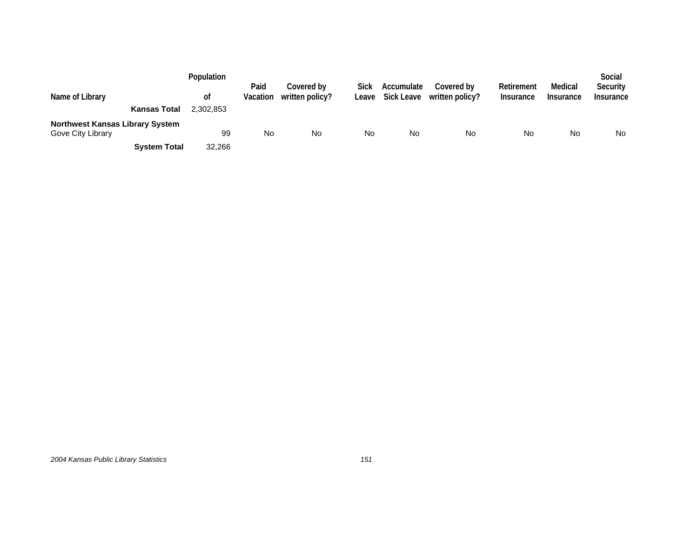| Name of Library                                             | Population<br>0t | Paid<br>Vacation | Covered by<br>written policy? | Sick<br>Leave | Accumulate<br><b>Sick Leave</b> | Covered by<br>written policy? | Retirement<br><b>Insurance</b> | Medical<br>Insurance | Social<br>Security<br>Insurance |
|-------------------------------------------------------------|------------------|------------------|-------------------------------|---------------|---------------------------------|-------------------------------|--------------------------------|----------------------|---------------------------------|
| <b>Kansas Total</b>                                         | 2.302.853        |                  |                               |               |                                 |                               |                                |                      |                                 |
| <b>Northwest Kansas Library System</b><br>Gove City Library | 99               | No               | No                            | No            | No                              | No                            | No                             | No                   | <b>No</b>                       |
| <b>System Total</b>                                         | 32,266           |                  |                               |               |                                 |                               |                                |                      |                                 |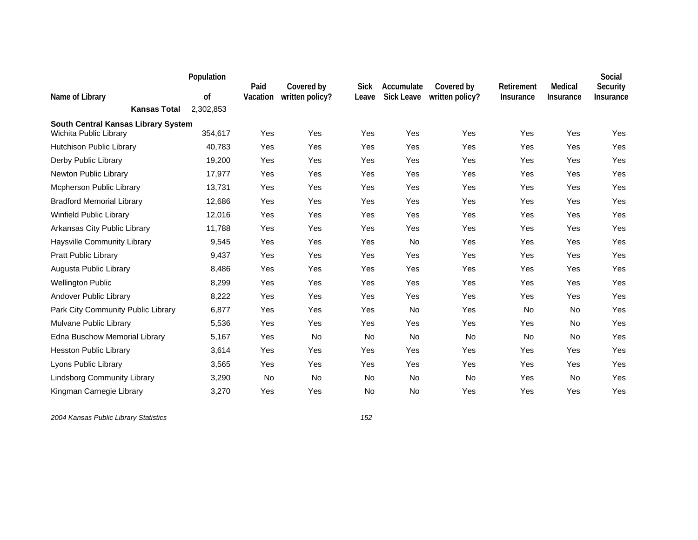|                                                               | Population | Paid     | Covered by      | <b>Sick</b> | Accumulate        | Covered by      | Retirement       | Medical          | Social<br>Security |
|---------------------------------------------------------------|------------|----------|-----------------|-------------|-------------------|-----------------|------------------|------------------|--------------------|
| Name of Library                                               | of         | Vacation | written policy? | Leave       | <b>Sick Leave</b> | written policy? | <b>Insurance</b> | <b>Insurance</b> | Insurance          |
| <b>Kansas Total</b>                                           | 2,302,853  |          |                 |             |                   |                 |                  |                  |                    |
| South Central Kansas Library System<br>Wichita Public Library | 354,617    | Yes      | Yes             | Yes         | Yes               | Yes             | Yes              | Yes              | Yes                |
| Hutchison Public Library                                      | 40,783     | Yes      | Yes             | Yes         | Yes               | Yes             | Yes              | Yes              | Yes                |
| Derby Public Library                                          | 19,200     | Yes      | Yes             | Yes         | Yes               | Yes             | Yes              | Yes              | Yes                |
| Newton Public Library                                         | 17,977     | Yes      | Yes             | Yes         | Yes               | Yes             | Yes              | Yes              | Yes                |
| Mcpherson Public Library                                      | 13,731     | Yes      | Yes             | Yes         | Yes               | Yes             | Yes              | Yes              | Yes                |
| <b>Bradford Memorial Library</b>                              | 12,686     | Yes      | Yes             | Yes         | Yes               | Yes             | Yes              | Yes              | Yes                |
| Winfield Public Library                                       | 12,016     | Yes      | Yes             | Yes         | Yes               | Yes             | Yes              | Yes              | Yes                |
| Arkansas City Public Library                                  | 11,788     | Yes      | Yes             | Yes         | Yes               | Yes             | Yes              | Yes              | Yes                |
| Haysville Community Library                                   | 9,545      | Yes      | Yes             | Yes         | No                | Yes             | Yes              | Yes              | Yes                |
| Pratt Public Library                                          | 9,437      | Yes      | Yes             | Yes         | Yes               | Yes             | Yes              | Yes              | Yes                |
| Augusta Public Library                                        | 8,486      | Yes      | Yes             | Yes         | Yes               | Yes             | Yes              | Yes              | Yes                |
| <b>Wellington Public</b>                                      | 8,299      | Yes      | Yes             | Yes         | Yes               | Yes             | Yes              | Yes              | Yes                |
| Andover Public Library                                        | 8,222      | Yes      | Yes             | Yes         | Yes               | Yes             | Yes              | Yes              | Yes                |
| Park City Community Public Library                            | 6,877      | Yes      | Yes             | Yes         | No                | Yes             | No               | No               | Yes                |
| Mulvane Public Library                                        | 5,536      | Yes      | Yes             | Yes         | Yes               | Yes             | Yes              | No               | Yes                |
| Edna Buschow Memorial Library                                 | 5,167      | Yes      | No              | No          | No                | No              | No               | No               | Yes                |
| <b>Hesston Public Library</b>                                 | 3,614      | Yes      | Yes             | Yes         | Yes               | Yes             | Yes              | Yes              | Yes                |
| Lyons Public Library                                          | 3,565      | Yes      | Yes             | Yes         | Yes               | Yes             | Yes              | Yes              | Yes                |
| <b>Lindsborg Community Library</b>                            | 3,290      | No       | No              | <b>No</b>   | No                | No              | Yes              | No               | Yes                |
| Kingman Carnegie Library                                      | 3,270      | Yes      | Yes             | No          | No                | Yes             | Yes              | Yes              | Yes                |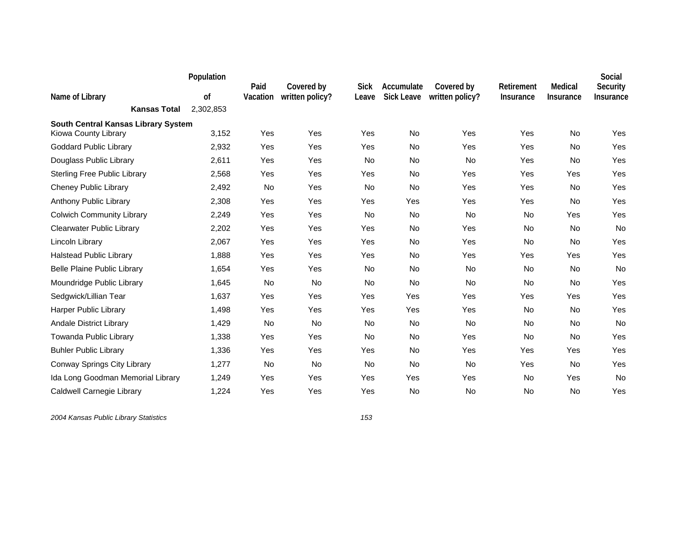|                                     | Population | Paid     | Covered by      | <b>Sick</b> | Accumulate        | Covered by      | Retirement | Medical          | Social<br>Security |
|-------------------------------------|------------|----------|-----------------|-------------|-------------------|-----------------|------------|------------------|--------------------|
| Name of Library                     | 0f         | Vacation | written policy? | Leave       | <b>Sick Leave</b> | written policy? | Insurance  | <b>Insurance</b> | Insurance          |
| <b>Kansas Total</b>                 | 2,302,853  |          |                 |             |                   |                 |            |                  |                    |
| South Central Kansas Library System |            |          |                 |             |                   |                 |            |                  |                    |
| Kiowa County Library                | 3,152      | Yes      | Yes             | Yes         | No                | Yes             | Yes        | No               | Yes                |
| <b>Goddard Public Library</b>       | 2,932      | Yes      | Yes             | Yes         | <b>No</b>         | Yes             | Yes        | <b>No</b>        | Yes                |
| Douglass Public Library             | 2,611      | Yes      | Yes             | No          | No                | No              | Yes        | No               | Yes                |
| <b>Sterling Free Public Library</b> | 2,568      | Yes      | Yes             | Yes         | <b>No</b>         | Yes             | Yes        | <b>Yes</b>       | Yes                |
| <b>Cheney Public Library</b>        | 2,492      | No       | Yes             | <b>No</b>   | No                | Yes             | Yes        | No               | Yes                |
| Anthony Public Library              | 2,308      | Yes      | Yes             | Yes         | Yes               | Yes             | Yes        | No               | Yes                |
| <b>Colwich Community Library</b>    | 2,249      | Yes      | Yes             | <b>No</b>   | <b>No</b>         | <b>No</b>       | No         | Yes              | Yes                |
| <b>Clearwater Public Library</b>    | 2,202      | Yes      | Yes             | Yes         | No                | Yes             | No         | No               | No                 |
| Lincoln Library                     | 2,067      | Yes      | Yes             | Yes         | <b>No</b>         | Yes             | No         | <b>No</b>        | Yes                |
| <b>Halstead Public Library</b>      | 1,888      | Yes      | Yes             | Yes         | No                | Yes             | Yes        | <b>Yes</b>       | Yes                |
| <b>Belle Plaine Public Library</b>  | 1,654      | Yes      | Yes             | No          | No                | No              | No         | No               | No                 |
| Moundridge Public Library           | 1,645      | No       | <b>No</b>       | <b>No</b>   | <b>No</b>         | <b>No</b>       | <b>No</b>  | <b>No</b>        | Yes                |
| Sedgwick/Lillian Tear               | 1,637      | Yes      | Yes             | Yes         | Yes               | Yes             | Yes        | Yes              | Yes                |
| <b>Harper Public Library</b>        | 1,498      | Yes      | Yes             | Yes         | Yes               | Yes             | No         | No               | Yes                |
| <b>Andale District Library</b>      | 1,429      | No       | No              | <b>No</b>   | No                | <b>No</b>       | No         | No               | No                 |
| Towanda Public Library              | 1,338      | Yes      | Yes             | <b>No</b>   | <b>No</b>         | Yes             | <b>No</b>  | <b>No</b>        | Yes                |
| <b>Buhler Public Library</b>        | 1,336      | Yes      | Yes             | Yes         | <b>No</b>         | Yes             | Yes        | <b>Yes</b>       | Yes                |
| Conway Springs City Library         | 1,277      | No       | No              | <b>No</b>   | No                | No              | Yes        | No               | Yes                |
| Ida Long Goodman Memorial Library   | 1,249      | Yes      | Yes             | Yes         | Yes               | Yes             | No         | Yes              | No                 |
| Caldwell Carnegie Library           | 1,224      | Yes      | Yes             | Yes         | No                | No              | No         | No               | Yes                |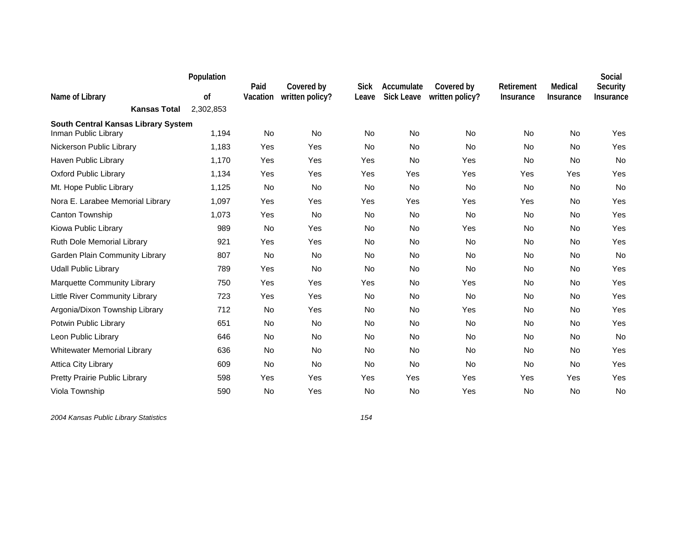|                                                             | Population | Paid     | Covered by      | <b>Sick</b> | Accumulate        | Covered by      | Retirement | Medical   | Social<br>Security |
|-------------------------------------------------------------|------------|----------|-----------------|-------------|-------------------|-----------------|------------|-----------|--------------------|
| Name of Library                                             | 0f         | Vacation | written policy? | Leave       | <b>Sick Leave</b> | written policy? | Insurance  | Insurance | Insurance          |
| <b>Kansas Total</b>                                         | 2,302,853  |          |                 |             |                   |                 |            |           |                    |
| South Central Kansas Library System<br>Inman Public Library | 1,194      | No       | <b>No</b>       | No          | No                | <b>No</b>       | No         | No        | Yes                |
| Nickerson Public Library                                    | 1,183      | Yes      | Yes             | <b>No</b>   | <b>No</b>         | <b>No</b>       | <b>No</b>  | <b>No</b> | Yes                |
| Haven Public Library                                        | 1,170      | Yes      | Yes             | Yes         | <b>No</b>         | Yes             | <b>No</b>  | No        | No                 |
| <b>Oxford Public Library</b>                                | 1,134      | Yes      | Yes             | Yes         | Yes               | Yes             | Yes        | Yes       | Yes                |
| Mt. Hope Public Library                                     | 1,125      | No       | <b>No</b>       | <b>No</b>   | <b>No</b>         | <b>No</b>       | No         | No        | No                 |
| Nora E. Larabee Memorial Library                            | 1,097      | Yes      | Yes             | Yes         | Yes               | Yes             | Yes        | No        | Yes                |
| Canton Township                                             | 1,073      | Yes      | <b>No</b>       | <b>No</b>   | <b>No</b>         | <b>No</b>       | <b>No</b>  | No        | Yes                |
| Kiowa Public Library                                        | 989        | No       | Yes             | <b>No</b>   | No                | Yes             | <b>No</b>  | <b>No</b> | Yes                |
| Ruth Dole Memorial Library                                  | 921        | Yes      | Yes             | No          | No                | No              | No         | No        | Yes                |
| Garden Plain Community Library                              | 807        | No       | <b>No</b>       | <b>No</b>   | No                | <b>No</b>       | No         | No        | No                 |
| <b>Udall Public Library</b>                                 | 789        | Yes      | No              | <b>No</b>   | No                | No              | No         | No        | Yes                |
| <b>Marquette Community Library</b>                          | 750        | Yes      | Yes             | Yes         | <b>No</b>         | Yes             | No         | <b>No</b> | Yes                |
| Little River Community Library                              | 723        | Yes      | Yes             | <b>No</b>   | <b>No</b>         | <b>No</b>       | No         | <b>No</b> | Yes                |
| Argonia/Dixon Township Library                              | 712        | No       | Yes             | <b>No</b>   | No                | Yes             | No         | No        | Yes                |
| Potwin Public Library                                       | 651        | No       | No              | <b>No</b>   | No                | <b>No</b>       | No         | No        | Yes                |
| Leon Public Library                                         | 646        | No       | No              | <b>No</b>   | No                | No              | No         | No        | No                 |
| <b>Whitewater Memorial Library</b>                          | 636        | No       | No              | <b>No</b>   | <b>No</b>         | <b>No</b>       | No         | No        | Yes                |
| <b>Attica City Library</b>                                  | 609        | No       | <b>No</b>       | <b>No</b>   | No                | <b>No</b>       | No         | <b>No</b> | Yes                |
| Pretty Prairie Public Library                               | 598        | Yes      | Yes             | Yes         | Yes               | Yes             | Yes        | Yes       | Yes                |
| Viola Township                                              | 590        | No       | Yes             | No          | No                | Yes             | No         | No        | No                 |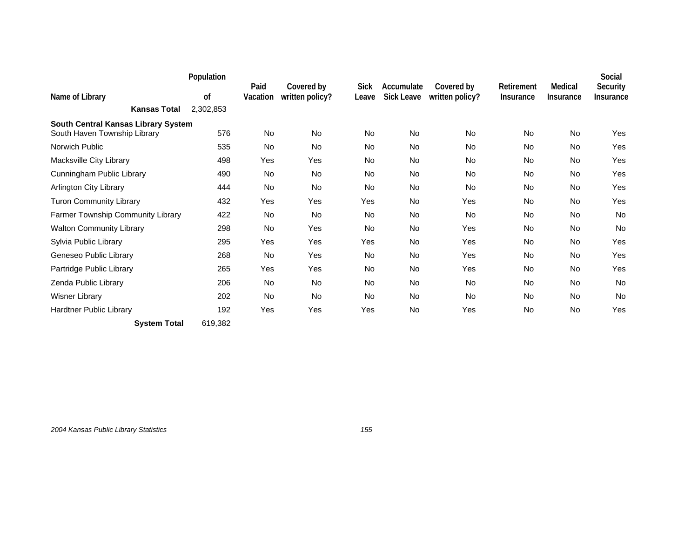|                                        | Population      | Paid      | Covered by      | <b>Sick</b> | Accumulate        | Covered by      | Retirement       | Medical          | Social<br>Security |
|----------------------------------------|-----------------|-----------|-----------------|-------------|-------------------|-----------------|------------------|------------------|--------------------|
| Name of Library<br><b>Kansas Total</b> | οf<br>2,302,853 | Vacation  | written policy? | Leave       | <b>Sick Leave</b> | written policy? | <b>Insurance</b> | <b>Insurance</b> | Insurance          |
| South Central Kansas Library System    |                 |           |                 |             |                   |                 |                  |                  |                    |
| South Haven Township Library           | 576             | <b>No</b> | <b>No</b>       | <b>No</b>   | <b>No</b>         | <b>No</b>       | <b>No</b>        | <b>No</b>        | Yes                |
| Norwich Public                         | 535             | No        | No              | No          | No                | No.             | No               | No               | Yes                |
| Macksville City Library                | 498             | Yes       | Yes             | No          | No                | No.             | No               | No               | Yes                |
| Cunningham Public Library              | 490             | No        | <b>No</b>       | No          | <b>No</b>         | <b>No</b>       | No               | No               | Yes                |
| <b>Arlington City Library</b>          | 444             | No        | <b>No</b>       | <b>No</b>   | <b>No</b>         | <b>No</b>       | <b>No</b>        | <b>No</b>        | Yes                |
| <b>Turon Community Library</b>         | 432             | Yes       | Yes             | Yes         | No                | Yes             | No               | No               | Yes                |
| Farmer Township Community Library      | 422             | <b>No</b> | <b>No</b>       | No          | <b>No</b>         | <b>No</b>       | No               | <b>No</b>        | No                 |
| <b>Walton Community Library</b>        | 298             | <b>No</b> | Yes             | No          | <b>No</b>         | Yes             | <b>No</b>        | <b>No</b>        | <b>No</b>          |
| Sylvia Public Library                  | 295             | Yes       | Yes             | Yes         | No                | Yes             | No               | No               | Yes                |
| Geneseo Public Library                 | 268             | No        | Yes             | <b>No</b>   | No                | Yes             | No               | <b>No</b>        | Yes                |
| Partridge Public Library               | 265             | Yes       | Yes             | <b>No</b>   | <b>No</b>         | Yes             | No               | <b>No</b>        | Yes                |
| Zenda Public Library                   | 206             | <b>No</b> | <b>No</b>       | <b>No</b>   | <b>No</b>         | <b>No</b>       | <b>No</b>        | <b>No</b>        | <b>No</b>          |
| <b>Wisner Library</b>                  | 202             | No        | No              | No          | No                | No.             | No               | No               | No                 |
| Hardtner Public Library                | 192             | Yes       | Yes             | Yes         | No                | Yes             | No               | No               | Yes                |

**System Total** 619,382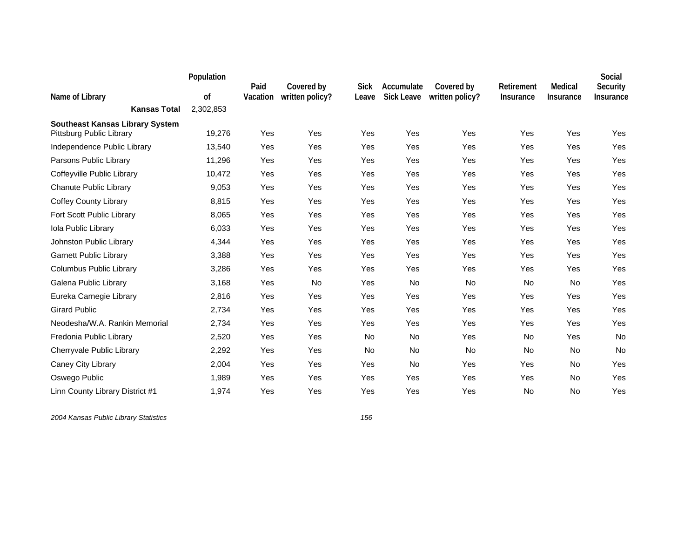|                                                                    | Population | Paid     | Covered by      | <b>Sick</b> | Accumulate        | Covered by      | Retirement       | Medical          | Social<br>Security |
|--------------------------------------------------------------------|------------|----------|-----------------|-------------|-------------------|-----------------|------------------|------------------|--------------------|
| Name of Library                                                    | 0f         | Vacation | written policy? | Leave       | <b>Sick Leave</b> | written policy? | <b>Insurance</b> | <b>Insurance</b> | Insurance          |
| <b>Kansas Total</b>                                                | 2,302,853  |          |                 |             |                   |                 |                  |                  |                    |
| <b>Southeast Kansas Library System</b><br>Pittsburg Public Library | 19,276     | Yes      | <b>Yes</b>      | Yes         | Yes               | Yes             | Yes              | Yes              | Yes                |
| Independence Public Library                                        | 13,540     | Yes      | Yes             | Yes         | Yes               | Yes             | Yes              | Yes              | Yes                |
| Parsons Public Library                                             | 11,296     | Yes      | Yes             | Yes         | Yes               | Yes             | Yes              | Yes              | Yes                |
| Coffeyville Public Library                                         | 10,472     | Yes      | Yes             | Yes         | Yes               | Yes             | Yes              | Yes              | Yes                |
| Chanute Public Library                                             | 9,053      | Yes      | Yes             | Yes         | Yes               | Yes             | Yes              | Yes              | Yes                |
| <b>Coffey County Library</b>                                       | 8,815      | Yes      | Yes             | Yes         | Yes               | Yes             | Yes              | Yes              | Yes                |
| Fort Scott Public Library                                          | 8,065      | Yes      | Yes             | Yes         | Yes               | Yes             | Yes              | Yes              | Yes                |
| Iola Public Library                                                | 6,033      | Yes      | Yes             | Yes         | Yes               | Yes             | Yes              | Yes              | Yes                |
| Johnston Public Library                                            | 4,344      | Yes      | Yes             | Yes         | Yes               | Yes             | Yes              | Yes              | Yes                |
| <b>Garnett Public Library</b>                                      | 3,388      | Yes      | Yes             | Yes         | Yes               | Yes             | Yes              | Yes              | Yes                |
| Columbus Public Library                                            | 3,286      | Yes      | Yes             | Yes         | Yes               | Yes             | Yes              | Yes              | Yes                |
| Galena Public Library                                              | 3,168      | Yes      | No              | Yes         | <b>No</b>         | No              | <b>No</b>        | <b>No</b>        | Yes                |
| Eureka Carnegie Library                                            | 2,816      | Yes      | Yes             | Yes         | Yes               | Yes             | Yes              | Yes              | Yes                |
| <b>Girard Public</b>                                               | 2,734      | Yes      | Yes             | Yes         | Yes               | Yes             | Yes              | Yes              | Yes                |
| Neodesha/W.A. Rankin Memorial                                      | 2,734      | Yes      | Yes             | Yes         | Yes               | Yes             | Yes              | Yes              | Yes                |
| Fredonia Public Library                                            | 2,520      | Yes      | Yes             | <b>No</b>   | <b>No</b>         | Yes             | No               | Yes              | No                 |
| Cherryvale Public Library                                          | 2,292      | Yes      | Yes             | <b>No</b>   | No                | <b>No</b>       | <b>No</b>        | No               | <b>No</b>          |
| Caney City Library                                                 | 2,004      | Yes      | Yes             | Yes         | <b>No</b>         | Yes             | Yes              | <b>No</b>        | Yes                |
| Oswego Public                                                      | 1,989      | Yes      | Yes             | Yes         | Yes               | Yes             | Yes              | No               | Yes                |
| Linn County Library District #1                                    | 1,974      | Yes      | Yes             | Yes         | Yes               | Yes             | No               | No               | Yes                |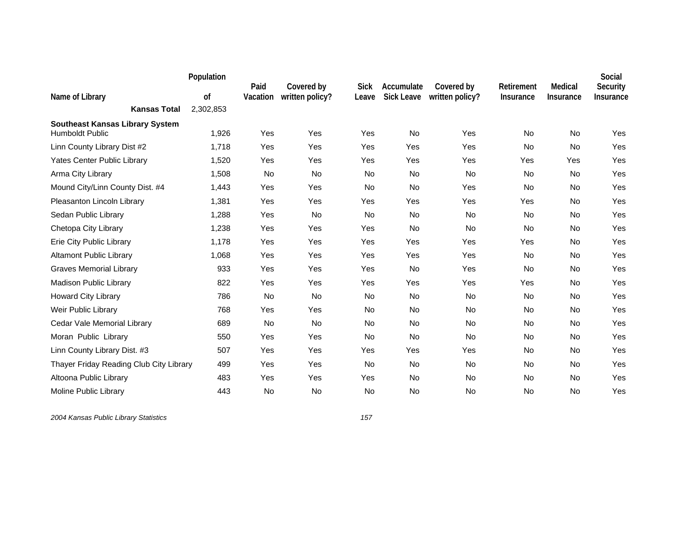|                                                                  | Population | Paid     | Covered by      | <b>Sick</b> | Accumulate        | Covered by      | Retirement | Medical          | Social<br>Security |
|------------------------------------------------------------------|------------|----------|-----------------|-------------|-------------------|-----------------|------------|------------------|--------------------|
| Name of Library                                                  | of         | Vacation | written policy? | Leave       | <b>Sick Leave</b> | written policy? | Insurance  | <b>Insurance</b> | Insurance          |
| <b>Kansas Total</b>                                              | 2,302,853  |          |                 |             |                   |                 |            |                  |                    |
| <b>Southeast Kansas Library System</b><br><b>Humboldt Public</b> | 1,926      | Yes      | Yes             | Yes         | No                | Yes             | No         | No               | Yes                |
| Linn County Library Dist #2                                      | 1,718      | Yes      | Yes             | Yes         | Yes               | Yes             | <b>No</b>  | <b>No</b>        | Yes                |
| Yates Center Public Library                                      | 1,520      | Yes      | Yes             | Yes         | Yes               | Yes             | Yes        | Yes              | Yes                |
| Arma City Library                                                | 1,508      | No       | No              | <b>No</b>   | <b>No</b>         | <b>No</b>       | No         | No               | Yes                |
| Mound City/Linn County Dist. #4                                  | 1,443      | Yes      | Yes             | No          | No                | Yes             | <b>No</b>  | No               | Yes                |
| Pleasanton Lincoln Library                                       | 1,381      | Yes      | Yes             | Yes         | Yes               | Yes             | Yes        | No               | Yes                |
| Sedan Public Library                                             | 1,288      | Yes      | <b>No</b>       | <b>No</b>   | <b>No</b>         | <b>No</b>       | No         | <b>No</b>        | Yes                |
| Chetopa City Library                                             | 1,238      | Yes      | Yes             | Yes         | No                | <b>No</b>       | <b>No</b>  | No               | Yes                |
| Erie City Public Library                                         | 1,178      | Yes      | Yes             | Yes         | Yes               | Yes             | Yes        | No               | Yes                |
| <b>Altamont Public Library</b>                                   | 1,068      | Yes      | Yes             | Yes         | Yes               | Yes             | No         | No               | Yes                |
| <b>Graves Memorial Library</b>                                   | 933        | Yes      | Yes             | Yes         | No                | Yes             | No         | No               | Yes                |
| <b>Madison Public Library</b>                                    | 822        | Yes      | Yes             | Yes         | Yes               | Yes             | Yes        | No               | Yes                |
| <b>Howard City Library</b>                                       | 786        | No       | No              | <b>No</b>   | No                | <b>No</b>       | No         | No               | Yes                |
| Weir Public Library                                              | 768        | Yes      | Yes             | <b>No</b>   | <b>No</b>         | <b>No</b>       | No         | No               | Yes                |
| Cedar Vale Memorial Library                                      | 689        | No       | No              | <b>No</b>   | No                | <b>No</b>       | No         | No               | Yes                |
| Moran Public Library                                             | 550        | Yes      | Yes             | <b>No</b>   | <b>No</b>         | <b>No</b>       | No         | No               | Yes                |
| Linn County Library Dist. #3                                     | 507        | Yes      | Yes             | Yes         | Yes               | Yes             | No         | No               | Yes                |
| Thayer Friday Reading Club City Library                          | 499        | Yes      | Yes             | No          | No                | No              | No         | No               | Yes                |
| Altoona Public Library                                           | 483        | Yes      | Yes             | Yes         | No                | <b>No</b>       | No         | No               | Yes                |
| Moline Public Library                                            | 443        | No       | No              | No          | No                | No              | No         | No               | Yes                |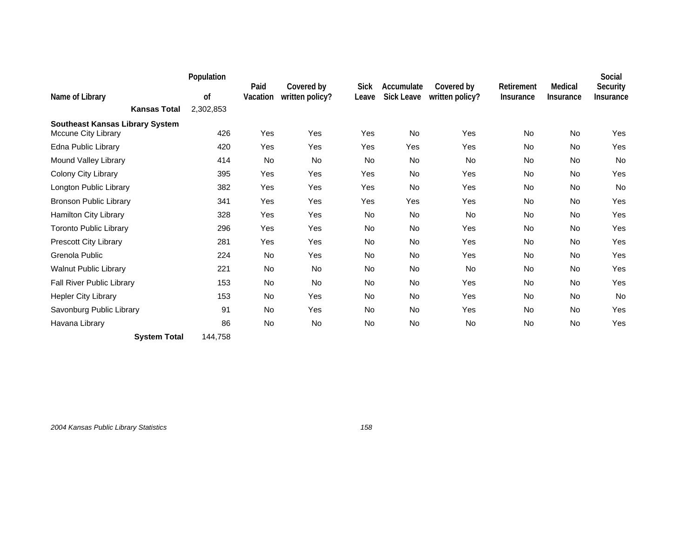|                                                                      | Population |                  |                               |                      |                                 |                               |                                |                             | Social                |
|----------------------------------------------------------------------|------------|------------------|-------------------------------|----------------------|---------------------------------|-------------------------------|--------------------------------|-----------------------------|-----------------------|
| Name of Library                                                      | 0f         | Paid<br>Vacation | Covered by<br>written policy? | <b>Sick</b><br>Leave | Accumulate<br><b>Sick Leave</b> | Covered by<br>written policy? | Retirement<br><b>Insurance</b> | Medical<br><b>Insurance</b> | Security<br>Insurance |
| <b>Kansas Total</b>                                                  | 2,302,853  |                  |                               |                      |                                 |                               |                                |                             |                       |
| <b>Southeast Kansas Library System</b><br><b>Mccune City Library</b> | 426        | Yes              | Yes                           | Yes                  | <b>No</b>                       | Yes                           | <b>No</b>                      | <b>No</b>                   | Yes                   |
| Edna Public Library                                                  | 420        | Yes              | Yes                           | Yes                  | Yes                             | Yes                           | No                             | No                          | Yes                   |
| Mound Valley Library                                                 | 414        | No               | No                            | <b>No</b>            | No                              | <b>No</b>                     | No                             | No                          | No                    |
| Colony City Library                                                  | 395        | Yes              | Yes                           | Yes                  | <b>No</b>                       | Yes                           | No                             | No                          | Yes                   |
| Longton Public Library                                               | 382        | Yes              | Yes                           | Yes                  | <b>No</b>                       | Yes                           | <b>No</b>                      | <b>No</b>                   | <b>No</b>             |
| <b>Bronson Public Library</b>                                        | 341        | Yes              | Yes                           | Yes                  | Yes                             | Yes                           | No                             | No                          | Yes                   |
| Hamilton City Library                                                | 328        | Yes              | Yes                           | <b>No</b>            | <b>No</b>                       | <b>No</b>                     | No                             | No                          | Yes                   |
| <b>Toronto Public Library</b>                                        | 296        | Yes              | Yes                           | <b>No</b>            | <b>No</b>                       | Yes                           | <b>No</b>                      | No                          | Yes                   |
| Prescott City Library                                                | 281        | Yes              | Yes                           | No                   | No                              | Yes                           | No                             | No                          | Yes                   |
| Grenola Public                                                       | 224        | No               | Yes                           | No.                  | No                              | Yes                           | No                             | No                          | Yes                   |
| <b>Walnut Public Library</b>                                         | 221        | <b>No</b>        | <b>No</b>                     | <b>No</b>            | <b>No</b>                       | <b>No</b>                     | No                             | No                          | Yes                   |
| Fall River Public Library                                            | 153        | No               | <b>No</b>                     | <b>No</b>            | <b>No</b>                       | Yes                           | No                             | No                          | Yes                   |
| <b>Hepler City Library</b>                                           | 153        | No               | Yes                           | <b>No</b>            | No                              | Yes                           | No                             | No                          | <b>No</b>             |
| Savonburg Public Library                                             | 91         | No               | Yes                           | No                   | No                              | Yes                           | No                             | No                          | Yes                   |
| Havana Library                                                       | 86         | <b>No</b>        | <b>No</b>                     | <b>No</b>            | <b>No</b>                       | <b>No</b>                     | No                             | <b>No</b>                   | Yes                   |
| <b>System Total</b>                                                  | 144,758    |                  |                               |                      |                                 |                               |                                |                             |                       |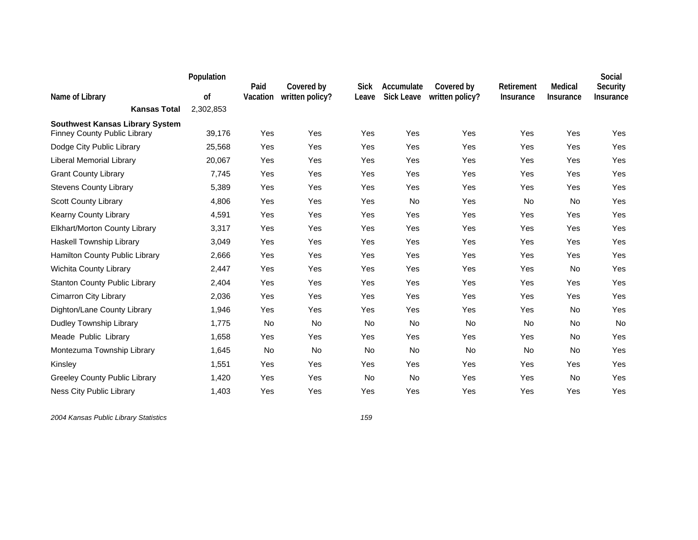|                                                                               | Population | Paid     | Covered by      | <b>Sick</b> | Accumulate        | Covered by      | Retirement | Medical          | Social<br>Security |
|-------------------------------------------------------------------------------|------------|----------|-----------------|-------------|-------------------|-----------------|------------|------------------|--------------------|
| Name of Library                                                               | 0f         | Vacation | written policy? | Leave       | <b>Sick Leave</b> | written policy? | Insurance  | <b>Insurance</b> | Insurance          |
| <b>Kansas Total</b>                                                           | 2,302,853  |          |                 |             |                   |                 |            |                  |                    |
| <b>Southwest Kansas Library System</b><br><b>Finney County Public Library</b> | 39,176     | Yes      | Yes             | Yes         | Yes               | Yes             | Yes        | Yes              | Yes                |
| Dodge City Public Library                                                     | 25,568     | Yes      | Yes             | Yes         | Yes               | Yes             | Yes        | Yes              | Yes                |
| Liberal Memorial Library                                                      | 20,067     | Yes      | Yes             | Yes         | Yes               | Yes             | Yes        | Yes              | Yes                |
| <b>Grant County Library</b>                                                   | 7,745      | Yes      | Yes             | Yes         | Yes               | Yes             | Yes        | Yes              | Yes                |
| <b>Stevens County Library</b>                                                 | 5,389      | Yes      | Yes             | Yes         | Yes               | Yes             | Yes        | Yes              | Yes                |
| Scott County Library                                                          | 4,806      | Yes      | Yes             | Yes         | No                | Yes             | No         | No               | Yes                |
| Kearny County Library                                                         | 4,591      | Yes      | Yes             | Yes         | Yes               | Yes             | Yes        | Yes              | Yes                |
| Elkhart/Morton County Library                                                 | 3,317      | Yes      | Yes             | Yes         | Yes               | Yes             | Yes        | Yes              | Yes                |
| Haskell Township Library                                                      | 3,049      | Yes      | Yes             | Yes         | Yes               | Yes             | Yes        | Yes              | Yes                |
| Hamilton County Public Library                                                | 2,666      | Yes      | Yes             | Yes         | Yes               | Yes             | Yes        | Yes              | Yes                |
| <b>Wichita County Library</b>                                                 | 2,447      | Yes      | Yes             | Yes         | Yes               | Yes             | Yes        | No               | Yes                |
| <b>Stanton County Public Library</b>                                          | 2,404      | Yes      | Yes             | Yes         | Yes               | Yes             | Yes        | Yes              | Yes                |
| Cimarron City Library                                                         | 2,036      | Yes      | Yes             | Yes         | Yes               | Yes             | Yes        | Yes              | Yes                |
| Dighton/Lane County Library                                                   | 1,946      | Yes      | Yes             | Yes         | Yes               | Yes             | Yes        | No               | Yes                |
| Dudley Township Library                                                       | 1,775      | No       | No              | <b>No</b>   | No                | <b>No</b>       | <b>No</b>  | No               | No                 |
| Meade Public Library                                                          | 1,658      | Yes      | Yes             | Yes         | Yes               | Yes             | Yes        | No               | Yes                |
| Montezuma Township Library                                                    | 1,645      | No       | No              | <b>No</b>   | No                | <b>No</b>       | <b>No</b>  | <b>No</b>        | Yes                |
| Kinsley                                                                       | 1,551      | Yes      | Yes             | Yes         | Yes               | Yes             | Yes        | Yes              | Yes                |
| <b>Greeley County Public Library</b>                                          | 1,420      | Yes      | Yes             | <b>No</b>   | No                | Yes             | Yes        | No               | Yes                |
| Ness City Public Library                                                      | 1,403      | Yes      | Yes             | Yes         | Yes               | Yes             | Yes        | Yes              | Yes                |